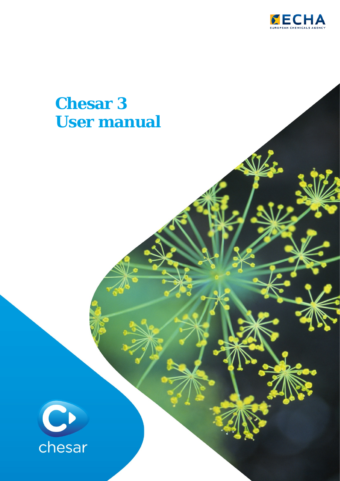

# **Chesar 3 User manual**

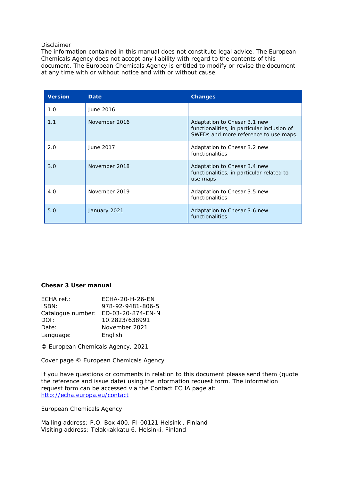#### Disclaimer

The information contained in this manual does not constitute legal advice. The European Chemicals Agency does not accept any liability with regard to the contents of this document. The European Chemicals Agency is entitled to modify or revise the document at any time with or without notice and with or without cause.

| <b>Version</b> | Date          | <b>Changes</b>                                                                                                       |
|----------------|---------------|----------------------------------------------------------------------------------------------------------------------|
| 1.0            | June 2016     |                                                                                                                      |
| 1.1            | November 2016 | Adaptation to Chesar 3.1 new<br>functionalities, in particular inclusion of<br>SWEDs and more reference to use maps. |
| 2.0            | June 2017     | Adaptation to Chesar 3.2 new<br>functionalities                                                                      |
| 3.0            | November 2018 | Adaptation to Chesar 3.4 new<br>functionalities, in particular related to<br>use maps                                |
| 4.0            | November 2019 | Adaptation to Chesar 3.5 new<br>functionalities                                                                      |
| 5.0            | January 2021  | Adaptation to Chesar 3.6 new<br>functionalities                                                                      |

#### **Chesar 3 User manual**

| FCHA-20-H-26-FN                     |
|-------------------------------------|
| 978-92-9481-806-5                   |
| Catalogue number: ED-03-20-874-EN-N |
| 10.2823/638991                      |
| November 2021                       |
| English                             |
|                                     |

© European Chemicals Agency, 2021

Cover page © European Chemicals Agency

If you have questions or comments in relation to this document please send them (quote the reference and issue date) using the information request form. The information request form can be accessed via the Contact ECHA page at: <http://echa.europa.eu/contact>

European Chemicals Agency

Mailing address: P.O. Box 400, FI-00121 Helsinki, Finland Visiting address: Telakkakkatu 6, Helsinki, Finland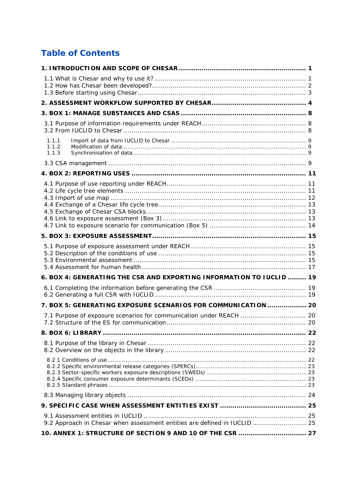## **Table of Contents**

| 1.1.1<br>1.1.2<br>1.1.3                                                   |  |
|---------------------------------------------------------------------------|--|
|                                                                           |  |
|                                                                           |  |
|                                                                           |  |
|                                                                           |  |
|                                                                           |  |
| 6. BOX 4: GENERATING THE CSR AND EXPORTING INFORMATION TO IUCLID  19      |  |
|                                                                           |  |
| 7. BOX 5: GENERATING EXPOSURE SCENARIOS FOR COMMUNICATION  20             |  |
| 7.1 Purpose of exposure scenarios for communication under REACH  20       |  |
| 8. BOX 6: LIBRARY ………………………………………………………………………………………… 22                   |  |
|                                                                           |  |
|                                                                           |  |
|                                                                           |  |
|                                                                           |  |
| 9.2 Approach in Chesar when assessment entities are defined in IUCLID  25 |  |
| 10. ANNEX 1: STRUCTURE OF SECTION 9 AND 10 OF THE CSR  27                 |  |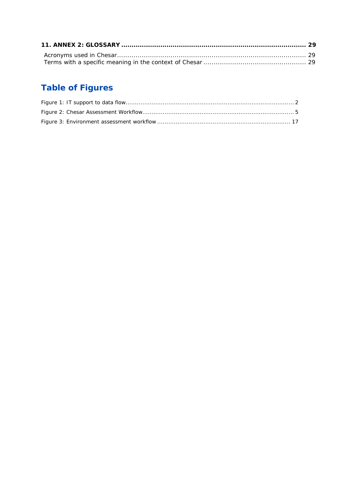## **Table of Figures**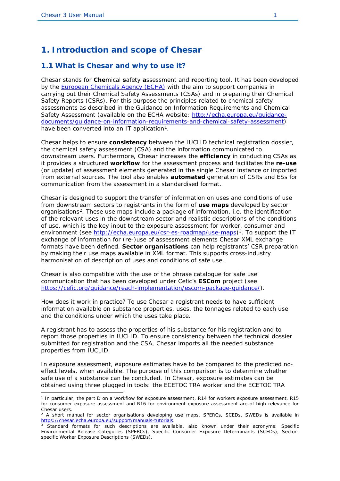## <span id="page-4-0"></span>**1. Introduction and scope of Chesar**

#### <span id="page-4-1"></span>**1.1 What is Chesar and why to use it?**

*Chesar* stands for **Che**mical **s**afety **a**ssessment and **r**eporting tool. It has been developed by the [European Chemicals Agency \(ECHA\)](http://echa.europa.eu/) with the aim to support companies in carrying out their Chemical Safety Assessments (CSAs) and in preparing their Chemical Safety Reports (CSRs). For this purpose the principles related to chemical safety assessments as described in the *Guidance on Information Requirements and Chemical Safety Assessment* (available on the ECHA website: [http://echa.europa.eu/guidance](http://echa.europa.eu/guidance-documents/guidance-on-information-requirements-and-chemical-safety-assessment)[documents/guidance-on-information-requirements-and-chemical-safety-assessment\)](http://echa.europa.eu/guidance-documents/guidance-on-information-requirements-and-chemical-safety-assessment) have been converted into an IT application<sup>[1](#page-4-2)</sup>.

Chesar helps to ensure **consistency** between the IUCLID technical registration dossier, the chemical safety assessment (CSA) and the information communicated to downstream users. Furthermore, Chesar increases the **efficiency** in conducting CSAs as it provides a structured **workflow** for the assessment process and facilitates the **re-use** (or update) of assessment elements generated in the single Chesar instance or imported from external sources. The tool also enables **automated** generation of CSRs and ESs for communication from the assessment in a standardised format.

Chesar is designed to support the transfer of information on uses and conditions of use from downstream sectors to registrants in the form of **use maps** developed by sector organisations[2.](#page-4-3) These use maps include a package of information, i.e. the identification of the relevant uses in the downstream sector and realistic descriptions of the conditions of use, which is the key input to the exposure assessment for worker, consumer and environment (see [http://echa.europa.eu/csr-es-roadmap/use-maps\)](http://echa.europa.eu/csr-es-roadmap/use-maps)<sup>[3](#page-4-4)</sup>. To support the IT exchange of information for (re-)use of assessment elements Chesar XML exchange formats have been defined. **Sector organisations** can help registrants' CSR preparation by making their use maps available in XML format. This supports cross-industry harmonisation of description of uses and conditions of safe use.

Chesar is also compatible with the use of the phrase catalogue for safe use communication that has been developed under Cefic's **ESCom** project (see https://cefic.org/quidance/reach-implementation/escom-package-quidance/).

How does it work in practice? To use Chesar a registrant needs to have sufficient information available on substance properties, uses, the tonnages related to each use and the conditions under which the uses take place.

A registrant has to assess the properties of his substance for his registration and to report those properties in IUCLID. To ensure consistency between the technical dossier submitted for registration and the CSA, Chesar imports all the needed substance properties from IUCLID.

In exposure assessment, exposure estimates have to be compared to the predicted noeffect levels, when available. The purpose of this comparison is to determine whether safe use of a substance can be concluded. In Chesar, exposure estimates can be obtained using three plugged in tools: the *ECETOC TRA worker* and the *ECETOC TRA* 

<span id="page-4-2"></span><sup>1</sup> In particular, the part D on a workflow for exposure assessment, R14 for workers exposure assessment, R15 for consumer exposure assessment and R16 for environment exposure assessment are of high relevance for Chesar users.

<span id="page-4-3"></span> $2$  A short manual for sector organisations developing use maps, SPERCs, SCEDs, SWEDs is available in [https://chesar.echa.europa.eu/support/manuals-tutorials.](https://chesar.echa.europa.eu/support/manuals-tutorials)

<span id="page-4-4"></span><sup>3</sup> Standard formats for such descriptions are available, also known under their acronyms: Specific Environmental Release Categories (SPERCs), Specific Consumer Exposure Determinants (SCEDs), Sectorspecific Worker Exposure Descriptions (SWEDs).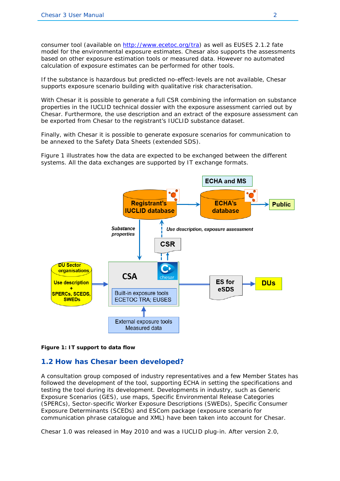*consumer* tool (available on [http://www.ecetoc.org/tra\)](http://www.ecetoc.org/tra) as well as EUSES 2.1.2 fate model for the environmental exposure estimates. Chesar also supports the assessments based on other exposure estimation tools or measured data. However no automated calculation of exposure estimates can be performed for other tools.

If the substance is hazardous but predicted no-effect-levels are not available, Chesar supports exposure scenario building with qualitative risk characterisation.

With Chesar it is possible to generate a full CSR combining the information on substance properties in the IUCLID technical dossier with the exposure assessment carried out by Chesar. Furthermore, the use description and an extract of the exposure assessment can be exported from Chesar to the registrant's IUCLID substance dataset.

Finally, with Chesar it is possible to generate exposure scenarios for communication to be annexed to the Safety Data Sheets (extended SDS).

[Figure 1](#page-5-1) illustrates how the data are expected to be exchanged between the different systems. All the data exchanges are supported by IT exchange formats.



<span id="page-5-1"></span>**Figure 1: IT support to data flow**

#### <span id="page-5-0"></span>**1.2 How has Chesar been developed?**

A consultation group composed of industry representatives and a few Member States has followed the development of the tool, supporting ECHA in setting the specifications and testing the tool during its development. Developments in industry, such as Generic Exposure Scenarios (GES), use maps, Specific Environmental Release Categories (SPERCs), Sector-specific Worker Exposure Descriptions (SWEDs), Specific Consumer Exposure Determinants (SCEDs) and ESCom package (exposure scenario for communication phrase catalogue and XML) have been taken into account for Chesar.

Chesar 1.0 was released in May 2010 and was a IUCLID plug-in. After version 2.0,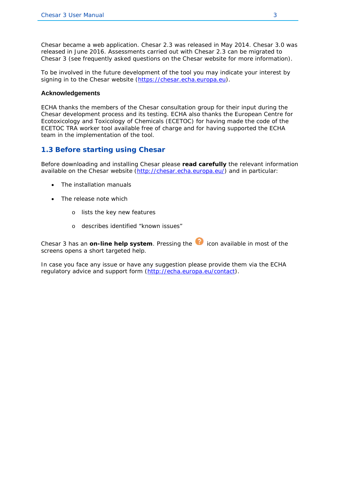Chesar became a web application. Chesar 2.3 was released in May 2014. Chesar 3.0 was released in June 2016. Assessments carried out with Chesar 2.3 can be migrated to Chesar 3 (see frequently asked questions on the Chesar website for more information).

To be involved in the future development of the tool you may indicate your interest by signing in to the Chesar website [\(https://chesar.echa.europa.eu\)](https://chesar.echa.europa.eu/).

#### **Acknowledgements**

ECHA thanks the members of the Chesar consultation group for their input during the Chesar development process and its testing. ECHA also thanks the European Centre for Ecotoxicology and Toxicology of Chemicals (ECETOC) for having made the code of the ECETOC TRA worker tool available free of charge and for having supported the ECHA team in the implementation of the tool.

#### <span id="page-6-0"></span>**1.3 Before starting using Chesar**

Before downloading and installing Chesar please **read carefully** the relevant information available on the Chesar website [\(http://chesar.echa.europa.eu/\)](http://chesar.echa.europa.eu/) and in particular:

- The installation manuals
- The release note which
	- o lists the key new features
	- o describes identified "known issues"

Chesar 3 has an **on-line help system**. Pressing the **independent on** available in most of the screens opens a short targeted help.

In case you face any issue or have any suggestion please provide them via the ECHA regulatory advice and support form [\(http://echa.europa.eu/contact\)](http://echa.europa.eu/contact).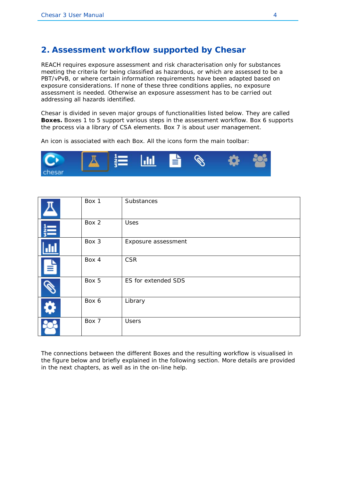## <span id="page-7-0"></span>**2. Assessment workflow supported by Chesar**

REACH requires exposure assessment and risk characterisation only for substances meeting the criteria for being classified as hazardous, or which are assessed to be a PBT/vPvB, or where certain information requirements have been adapted based on exposure considerations. If none of these three conditions applies, no exposure assessment is needed. Otherwise an exposure assessment has to be carried out addressing all hazards identified.

Chesar is divided in seven major groups of functionalities listed below. They are called **Boxes.** Boxes 1 to 5 support various steps in the assessment workflow. Box 6 supports the process via a library of CSA elements. Box 7 is about user management.

An icon is associated with each Box. All the icons form the main toolbar:



|   | Box 1 | Substances          |
|---|-------|---------------------|
|   | Box 2 | Uses                |
|   | Box 3 | Exposure assessment |
| ┪ | Box 4 | <b>CSR</b>          |
|   | Box 5 | ES for extended SDS |
|   | Box 6 | Library             |
|   | Box 7 | <b>Users</b>        |

The connections between the different Boxes and the resulting workflow is visualised in the figure below and briefly explained in the following section. More details are provided in the next chapters, as well as in the on-line help.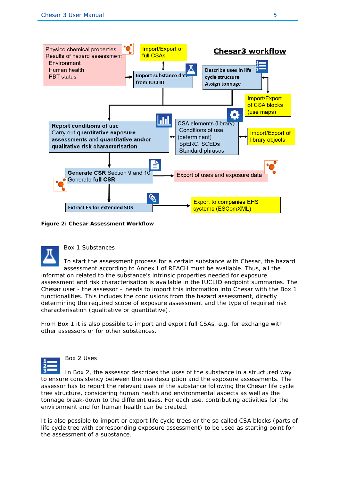

<span id="page-8-0"></span>**Figure 2: Chesar Assessment Workflow**



Box 1 Substances

To start the assessment process for a certain substance with Chesar, the hazard assessment according to Annex I of REACH must be available. Thus, all the information related to the substance's intrinsic properties needed for exposure assessment and risk characterisation is available in the IUCLID endpoint summaries. The Chesar user - the assessor – needs to import this information into Chesar with the Box 1 functionalities. This includes the conclusions from the hazard assessment, directly determining the required scope of exposure assessment and the type of required risk characterisation (qualitative or quantitative).

From Box 1 it is also possible to import and export full CSAs, e.g. for exchange with other assessors or for other substances.



Box 2 Uses

In Box 2, the assessor describes the uses of the substance in a structured way to ensure consistency between the use description and the exposure assessments. The assessor has to report the relevant uses of the substance following the Chesar life cycle tree structure, considering human health and environmental aspects as well as the tonnage break-down to the different uses. For each use, contributing activities for the environment and for human health can be created.

It is also possible to import or export life cycle trees or the so called CSA blocks (parts of life cycle tree with corresponding exposure assessment) to be used as starting point for the assessment of a substance.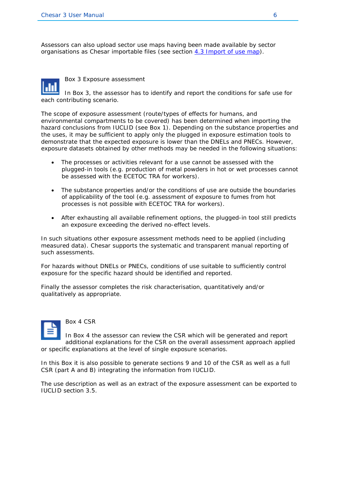Assessors can also upload sector use maps having been made available by sector organisations as Chesar importable files (see section [4.3 Import of use map\)](#page-15-0).



Box 3 Exposure assessment

In Box 3, the assessor has to identify and report the conditions for safe use for each contributing scenario.

The scope of exposure assessment (route/types of effects for humans, and environmental compartments to be covered) has been determined when importing the hazard conclusions from IUCLID (see Box 1). Depending on the substance properties and the uses, it may be sufficient to apply only the plugged in exposure estimation tools to demonstrate that the expected exposure is lower than the DNELs and PNECs. However, exposure datasets obtained by other methods may be needed in the following situations:

- The processes or activities relevant for a use cannot be assessed with the plugged-in tools (e.g. production of metal powders in hot or wet processes cannot be assessed with the ECETOC TRA for workers).
- The substance properties and/or the conditions of use are outside the boundaries of applicability of the tool (e.g. assessment of exposure to fumes from hot processes is not possible with ECETOC TRA for workers).
- After exhausting all available refinement options, the plugged-in tool still predicts an exposure exceeding the derived no-effect levels.

In such situations other exposure assessment methods need to be applied (including measured data). Chesar supports the systematic and transparent manual reporting of such assessments.

For hazards without DNELs or PNECs, conditions of use suitable to sufficiently control exposure for the specific hazard should be identified and reported.

Finally the assessor completes the risk characterisation, quantitatively and/or qualitatively as appropriate.



Box 4 CSR

In Box 4 the assessor can review the CSR which will be generated and report additional explanations for the CSR on the overall assessment approach applied or specific explanations at the level of single exposure scenarios.

In this Box it is also possible to generate sections 9 and 10 of the CSR as well as a full CSR (part A and B) integrating the information from IUCLID.

The use description as well as an extract of the exposure assessment can be exported to IUCLID section 3.5.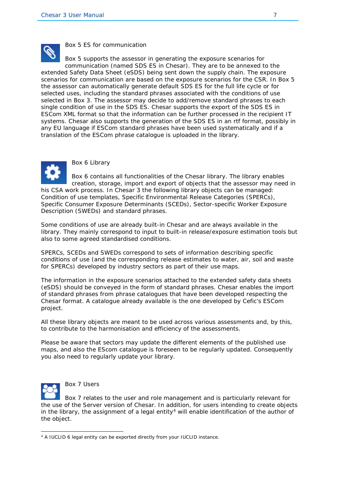

Box 5 ES for communication

Box 5 supports the assessor in generating the exposure scenarios for communication (named SDS ES in Chesar). They are to be annexed to the extended Safety Data Sheet (eSDS) being sent down the supply chain. The exposure scenarios for communication are based on the exposure scenarios for the CSR. In Box 5 the assessor can automatically generate default SDS ES for the full life cycle or for selected uses, including the standard phrases associated with the conditions of use selected in Box 3. The assessor may decide to add/remove standard phrases to each single condition of use in the SDS ES. Chesar supports the export of the SDS ES in ESCom XML format so that the information can be further processed in the recipient IT systems. Chesar also supports the generation of the SDS ES in an rtf format, possibly in any EU language if ESCom standard phrases have been used systematically and if a translation of the ESCom phrase catalogue is uploaded in the library.



Box 6 Library

Box 6 contains all functionalities of the Chesar library. The library enables creation, storage, import and export of objects that the assessor may need in his CSA work process. In Chesar 3 the following library objects can be managed:

Condition of use templates, Specific Environmental Release Categories (SPERCs), Specific Consumer Exposure Determinants (SCEDs), Sector-specific Worker Exposure Description (SWEDs) and standard phrases.

Some conditions of use are already built-in Chesar and are always available in the library. They mainly correspond to input to built-in release/exposure estimation tools but also to some agreed standardised conditions.

SPERCs, SCEDs and SWEDs correspond to sets of information describing specific conditions of use (and the corresponding release estimates to water, air, soil and waste for SPERCs) developed by industry sectors as part of their use maps.

The information in the exposure scenarios attached to the extended safety data sheets (eSDS) should be conveyed in the form of standard phrases. Chesar enables the import of standard phrases from phrase catalogues that have been developed respecting the Chesar format. A catalogue already available is the one developed by Cefic's ESCom project.

All these library objects are meant to be used across various assessments and, by this, to contribute to the harmonisation and efficiency of the assessments.

Please be aware that sectors may update the different elements of the published use maps, and also the EScom catalogue is foreseen to be regularly updated. Consequently you also need to regularly update your library.



Box 7 Users

Box 7 relates to the user and role management and is particularly relevant for the use of the Server version of Chesar. In addition, for users intending to create objects in the library, the assignment of a legal entity<sup>[4](#page-10-0)</sup> will enable identification of the author of the object.

<span id="page-10-0"></span><sup>4</sup> A IUCLID 6 legal entity can be exported directly from your IUCLID instance.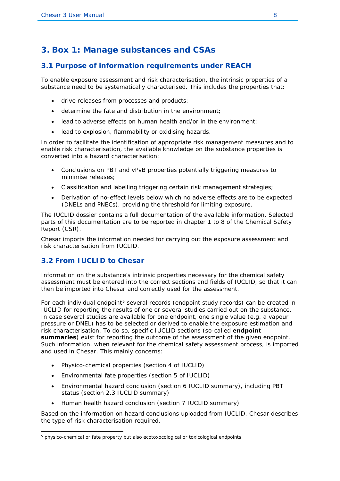## <span id="page-11-0"></span>**3. Box 1: Manage substances and CSAs**

#### <span id="page-11-1"></span>**3.1 Purpose of information requirements under REACH**

To enable exposure assessment and risk characterisation, the intrinsic properties of a substance need to be systematically characterised. This includes the properties that:

- drive releases from processes and products;
- determine the fate and distribution in the environment;
- lead to adverse effects on human health and/or in the environment;
- lead to explosion, flammability or oxidising hazards.

In order to facilitate the identification of appropriate risk management measures and to enable risk characterisation, the available knowledge on the substance properties is converted into a hazard characterisation:

- Conclusions on PBT and vPvB properties potentially triggering measures to minimise releases;
- Classification and labelling triggering certain risk management strategies;
- Derivation of no-effect levels below which no adverse effects are to be expected (DNELs and PNECs), providing the threshold for limiting exposure.

The IUCLID dossier contains a full documentation of the available information. Selected parts of this documentation are to be reported in chapter 1 to 8 of the Chemical Safety Report (CSR).

Chesar imports the information needed for carrying out the exposure assessment and risk characterisation from IUCLID.

#### <span id="page-11-2"></span>**3.2 From IUCLID to Chesar**

Information on the substance's intrinsic properties necessary for the chemical safety assessment must be entered into the correct sections and fields of IUCLID, so that it can then be imported into Chesar and correctly used for the assessment.

For each individual endpoint<sup>[5](#page-11-3)</sup> several records (endpoint study records) can be created in IUCLID for reporting the results of one or several studies carried out on the substance. In case several studies are available for one endpoint, one single value (e.g. a vapour pressure or DNEL) has to be selected or derived to enable the exposure estimation and risk characterisation. To do so, specific IUCLID sections (so-called **endpoint summaries**) exist for reporting the outcome of the assessment of the given endpoint. Such information, when relevant for the chemical safety assessment process, is imported and used in Chesar. This mainly concerns:

- Physico-chemical properties (section 4 of IUCLID)
- Environmental fate properties (section 5 of IUCLID)
- Environmental hazard conclusion (section 6 IUCLID summary), including PBT status (section 2.3 IUCLID summary)
- Human health hazard conclusion (section 7 IUCLID summary)

Based on the information on hazard conclusions uploaded from IUCLID, Chesar describes the type of risk characterisation required.

<span id="page-11-3"></span><sup>&</sup>lt;sup>5</sup> physico-chemical or fate property but also ecotoxocological or toxicological endpoints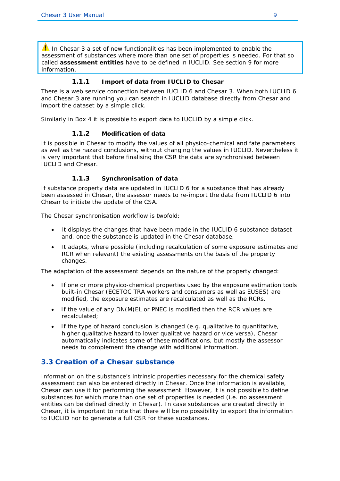$\Lambda$  In Chesar 3 a set of new functionalities has been implemented to enable the assessment of substances where more than one set of properties is needed. For that so called *assessment entities* have to be defined in IUCLID. See section [9](#page-28-0) for more information.

#### **1.1.1 Import of data from IUCLID to Chesar**

<span id="page-12-0"></span>There is a web service connection between IUCLID 6 and Chesar 3. When both IUCLID 6 and Chesar 3 are running you can search in IUCLID database directly from Chesar and import the dataset by a simple click.

Similarly in Box 4 it is possible to export data to IUCLID by a simple click.

#### **1.1.2 Modification of data**

<span id="page-12-1"></span>It is possible in Chesar to modify the values of all physico-chemical and fate parameters as well as the hazard conclusions, without changing the values in IUCLID. Nevertheless it is very important that before finalising the CSR the data are synchronised between IUCLID and Chesar.

#### **1.1.3 Synchronisation of data**

<span id="page-12-2"></span>If substance property data are updated in IUCLID 6 for a substance that has already been assessed in Chesar, the assessor needs to re-import the data from IUCLID 6 into Chesar to initiate the update of the CSA.

The Chesar synchronisation workflow is twofold:

- It displays the changes that have been made in the IUCLID 6 substance dataset and, once the substance is updated in the Chesar database,
- It adapts, where possible (including recalculation of some exposure estimates and RCR when relevant) the existing assessments on the basis of the property changes.

The adaptation of the assessment depends on the nature of the property changed:

- If one or more physico-chemical properties used by the exposure estimation tools built-in Chesar (ECETOC TRA workers and consumers as well as EUSES) are modified, the exposure estimates are recalculated as well as the RCRs.
- If the value of any DN(M)EL or PNEC is modified then the RCR values are recalculated;
- If the type of hazard conclusion is changed (e.g. qualitative to quantitative, higher qualitative hazard to lower qualitative hazard or vice versa), Chesar automatically indicates some of these modifications, but mostly the assessor needs to complement the change with additional information.

#### <span id="page-12-3"></span>**3.3 Creation of a Chesar substance**

Information on the substance's intrinsic properties necessary for the chemical safety assessment can also be entered directly in Chesar. Once the information is available, Chesar can use it for performing the assessment. However, it is not possible to define substances for which more than one set of properties is needed (i.e. no assessment entities can be defined directly in Chesar). In case substances are created directly in Chesar, it is important to note that there will be no possibility to export the information to IUCLID nor to generate a full CSR for these substances.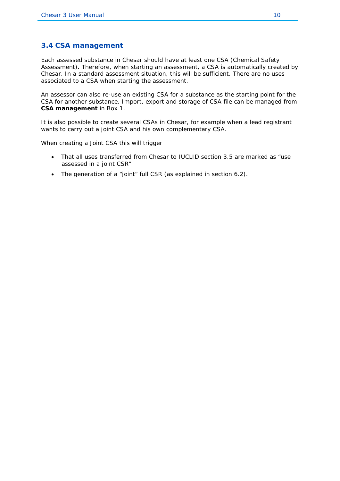#### **3.4 CSA management**

Each assessed substance in Chesar should have at least one CSA (Chemical Safety Assessment). Therefore, when starting an assessment, a CSA is automatically created by Chesar. In a standard assessment situation, this will be sufficient. There are no uses associated to a CSA when starting the assessment.

An assessor can also re-use an existing CSA for a substance as the starting point for the CSA for another substance. Import, export and storage of CSA file can be managed from **CSA management** in Box 1.

It is also possible to create several CSAs in Chesar, for example when a lead registrant wants to carry out a joint CSA and his own complementary CSA.

When creating a *Joint CSA* this will trigger

- That all uses transferred from Chesar to IUCLID section 3.5 are marked as "use assessed in a joint CSR"
- The generation of a "joint" full CSR (as explained in section [6.2\)](#page-22-2).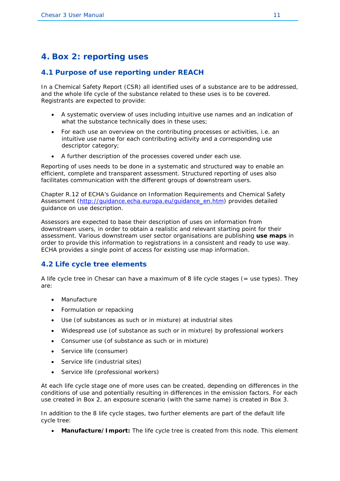## <span id="page-14-0"></span>**4. Box 2: reporting uses**

#### <span id="page-14-1"></span>**4.1 Purpose of use reporting under REACH**

In a Chemical Safety Report (CSR) all identified uses of a substance are to be addressed, and the whole life cycle of the substance related to these uses is to be covered. Registrants are expected to provide:

- A systematic overview of uses including intuitive use names and an indication of what the substance technically does in these uses;
- For each use an overview on the contributing processes or activities, i.e. an intuitive use name for each contributing activity and a corresponding use descriptor category;
- A further description of the processes covered under each use.

Reporting of uses needs to be done in a systematic and structured way to enable an efficient, complete and transparent assessment. Structured reporting of uses also facilitates communication with the different groups of downstream users.

Chapter R.12 of ECHA's Guidance on Information Requirements and Chemical Safety Assessment [\(http://guidance.echa.europa.eu/guidance\\_en.htm\)](http://guidance.echa.europa.eu/guidance_en.htm) provides detailed guidance on use description.

Assessors are expected to base their description of uses on information from downstream users, in order to obtain a realistic and relevant starting point for their assessment. Various downstream user sector organisations are publishing **use maps** in order to provide this information to registrations in a consistent and ready to use way. ECHA provides a single point of access for existing use map information.

#### <span id="page-14-2"></span>**4.2 Life cycle tree elements**

A life cycle tree in Chesar can have a maximum of 8 life cycle stages (= use types). They are:

- Manufacture
- Formulation or repacking
- Use (of substances as such or in mixture) at industrial sites
- Widespread use (of substance as such or in mixture) by professional workers
- Consumer use (of substance as such or in mixture)
- Service life (consumer)
- Service life (industrial sites)
- Service life (professional workers)

At each life cycle stage one of more uses can be created, depending on differences in the conditions of use and potentially resulting in differences in the emission factors. For each use created in Box 2, an exposure scenario (with the same name) is created in Box 3.

In addition to the 8 life cycle stages, two further elements are part of the default life cycle tree:

• **Manufacture/Import:** The life cycle tree is created from this node. This element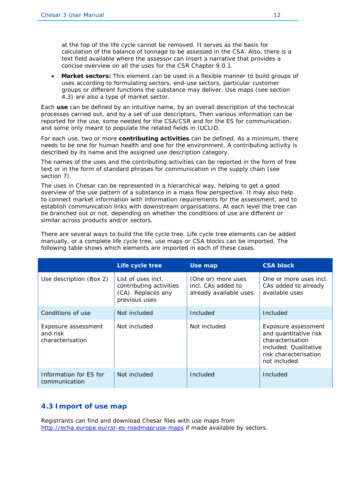at the top of the life cycle cannot be removed. It serves as the basis for calculation of the balance of tonnage to be assessed in the CSA. Also, there is a text field available where the assessor can insert a narrative that provides a concise overview on all the uses for the CSR Chapter 9.0.1.

• **Market sectors:** This element can be used in a flexible manner to build groups of uses according to formulating sectors, end-use sectors, particular customer groups or different functions the substance may deliver. Use maps (see section 4.3) are also a type of market sector.

Each **use** can be defined by an intuitive name, by an overall description of the technical processes carried out, and by a set of use descriptors. Then various information can be reported for the use, some needed for the CSA/CSR and for the ES for communication, and some only meant to populate the related fields in IUCLID.

For each use, two or more **contributing activities** can be defined. As a minimum, there needs to be one for human health and one for the environment. A contributing activity is described by its name and the assigned use description category.

The names of the uses and the contributing activities can be reported in the form of free text or in the form of standard phrases for communication in the supply chain (see section [7\)](#page-23-0).

The uses in Chesar can be represented in a hierarchical way, helping to get a good overview of the use pattern of a substance in a mass flow perspective. It may also help to connect market information with information requirements for the assessment, and to establish communication links with downstream organisations. At each level the tree can be branched out or not, depending on whether the conditions of use are different or similar across products and/or sectors.

There are several ways to build the life cycle tree. Life cycle tree elements can be added manually, or a complete life cycle tree, use maps or CSA blocks can be imported. The following table shows which elements are imported in each of these cases.

|                                                     | Life cycle tree                                                                      | Use map                                                             | <b>CSA block</b>                                                                                                                   |
|-----------------------------------------------------|--------------------------------------------------------------------------------------|---------------------------------------------------------------------|------------------------------------------------------------------------------------------------------------------------------------|
| Use description (Box 2)                             | List of uses incl.<br>contributing activities<br>(CA). Replaces any<br>previous uses | (One or) more uses<br>incl. CAs added to<br>already available uses. | One or more uses incl.<br>CAs added to already<br>available uses                                                                   |
| Conditions of use                                   | Not included                                                                         | Included                                                            | Included                                                                                                                           |
| Exposure assessment<br>and risk<br>characterisation | Not included                                                                         | Not included                                                        | Exposure assessment<br>and quantitative risk<br>characterisation<br>included. Qualitative<br>risk characterisation<br>not included |
| Information for ES for<br>communication             | Not included                                                                         | Included                                                            | Included                                                                                                                           |

#### <span id="page-15-0"></span>**4.3 Import of use map**

Registrants can find and download Chesar files with use maps from <http://echa.europa.eu/csr-es-roadmap/use-maps> if made available by sectors.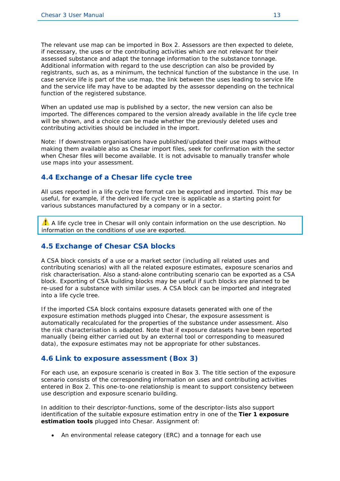The relevant use map can be imported in Box 2. Assessors are then expected to delete, if necessary, the uses or the contributing activities which are not relevant for their assessed substance and adapt the tonnage information to the substance tonnage. Additional information with regard to the use description can also be provided by registrants, such as, as a minimum, the technical function of the substance in the use. In case service life is part of the use map, the link between the uses leading to service life and the service life may have to be adapted by the assessor depending on the technical function of the registered substance.

When an updated use map is published by a sector, the new version can also be imported. The differences compared to the version already available in the life cycle tree will be shown, and a choice can be made whether the previously deleted uses and contributing activities should be included in the import.

Note: If downstream organisations have published/updated their use maps without making them available also as Chesar import files, seek for confirmation with the sector when Chesar files will become available. It is not advisable to manually transfer whole use maps into your assessment.

#### <span id="page-16-0"></span>**4.4 Exchange of a Chesar life cycle tree**

All uses reported in a life cycle tree format can be exported and imported. This may be useful, for example, if the derived life cycle tree is applicable as a starting point for various substances manufactured by a company or in a sector.

 $\triangle$  A life cycle tree in Chesar will only contain information on the use description. No information on the conditions of use are exported.

#### <span id="page-16-1"></span>**4.5 Exchange of Chesar CSA blocks**

A CSA block consists of a use or a market sector (including all related uses and contributing scenarios) with all the related exposure estimates, exposure scenarios and risk characterisation. Also a stand-alone contributing scenario can be exported as a CSA block. Exporting of CSA building blocks may be useful if such blocks are planned to be re-used for a substance with similar uses. A CSA block can be imported and integrated into a life cycle tree.

If the imported CSA block contains exposure datasets generated with one of the exposure estimation methods plugged into Chesar, the exposure assessment is automatically recalculated for the properties of the substance under assessment. Also the risk characterisation is adapted. Note that if exposure datasets have been reported manually (being either carried out by an external tool or corresponding to measured data), the exposure estimates may not be appropriate for other substances.

#### <span id="page-16-2"></span>**4.6 Link to exposure assessment (Box 3)**

For each use, an exposure scenario is created in Box 3. The title section of the exposure scenario consists of the corresponding information on uses and contributing activities entered in Box 2. This one-to-one relationship is meant to support consistency between use description and exposure scenario building.

In addition to their descriptor-functions, some of the descriptor-lists also support identification of the suitable exposure estimation entry in one of the **Tier 1 exposure estimation tools** plugged into Chesar. Assignment of:

• An environmental release category (ERC) and a tonnage for each use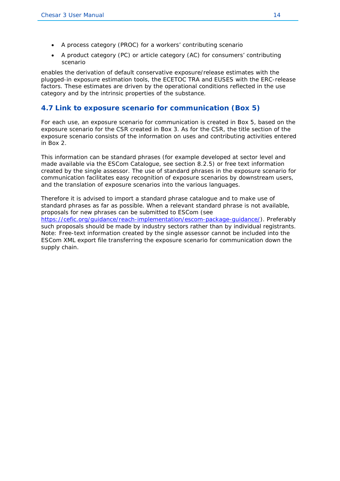- A process category (PROC) for a workers' contributing scenario
- A product category (PC) or article category (AC) for consumers' contributing scenario

enables the derivation of default conservative exposure/release estimates with the plugged-in exposure estimation tools, the ECETOC TRA and EUSES with the ERC-release factors. These estimates are driven by the operational conditions reflected in the use category and by the intrinsic properties of the substance.

#### <span id="page-17-0"></span>**4.7 Link to exposure scenario for communication (Box 5)**

For each use, an exposure scenario for communication is created in Box 5, based on the exposure scenario for the CSR created in Box 3. As for the CSR, the title section of the exposure scenario consists of the information on uses and contributing activities entered in Box 2.

This information can be standard phrases (for example developed at sector level and made available via the ESCom Catalogue, see section [8.2.5\)](#page-26-3) or free text information created by the single assessor. The use of standard phrases in the exposure scenario for communication facilitates easy recognition of exposure scenarios by downstream users, and the translation of exposure scenarios into the various languages.

Therefore it is advised to import a standard phrase catalogue and to make use of standard phrases as far as possible. When a relevant standard phrase is not available, proposals for new phrases can be submitted to ESCom (see [https://cefic.org/guidance/reach-implementation/escom-package-guidance/\)](https://cefic.org/guidance/reach-implementation/escom-package-guidance/). Preferably such proposals should be made by industry sectors rather than by individual registrants. Note: Free-text information created by the single assessor cannot be included into the ESCom XML export file transferring the exposure scenario for communication down the supply chain.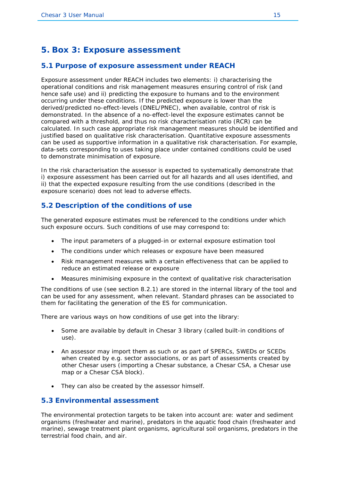## <span id="page-18-0"></span>**5. Box 3: Exposure assessment**

#### <span id="page-18-1"></span>**5.1 Purpose of exposure assessment under REACH**

Exposure assessment under REACH includes two elements: i) characterising the operational conditions and risk management measures ensuring control of risk (and hence safe use) and ii) predicting the exposure to humans and to the environment occurring under these conditions. If the predicted exposure is lower than the derived/predicted no-effect-levels (DNEL/PNEC), when available, control of risk is demonstrated. In the absence of a no-effect-level the exposure estimates cannot be compared with a threshold, and thus no risk characterisation ratio (RCR) can be calculated. In such case appropriate risk management measures should be identified and justified based on qualitative risk characterisation. Quantitative exposure assessments can be used as supportive information in a qualitative risk characterisation. For example, data-sets corresponding to uses taking place under contained conditions could be used to demonstrate minimisation of exposure.

In the risk characterisation the assessor is expected to systematically demonstrate that i) exposure assessment has been carried out for all hazards and all uses identified, and ii) that the expected exposure resulting from the use conditions (described in the exposure scenario) does not lead to adverse effects.

#### <span id="page-18-2"></span>**5.2 Description of the conditions of use**

The generated exposure estimates must be referenced to the conditions under which such exposure occurs. Such conditions of use may correspond to:

- The input parameters of a plugged-in or external exposure estimation tool
- The conditions under which releases or exposure have been measured
- Risk management measures with a certain effectiveness that can be applied to reduce an estimated release or exposure
- Measures minimising exposure in the context of qualitative risk characterisation

The conditions of use (see section [8.2.1\)](#page-25-3) are stored in the internal library of the tool and can be used for any assessment, when relevant. Standard phrases can be associated to them for facilitating the generation of the ES for communication.

There are various ways on how conditions of use get into the library:

- Some are available by default in Chesar 3 library (called built-in conditions of use).
- An assessor may import them as such or as part of SPERCs, SWEDs or SCEDs when created by e.g. sector associations, or as part of assessments created by other Chesar users (importing a *Chesar substance*, a *Chesar CSA,* a *Chesar use map* or a *Chesar CSA block*).
- They can also be created by the assessor himself.

#### <span id="page-18-3"></span>**5.3 Environmental assessment**

The environmental protection targets to be taken into account are: water and sediment organisms (freshwater and marine), predators in the aquatic food chain (freshwater and marine), sewage treatment plant organisms, agricultural soil organisms, predators in the terrestrial food chain, and air.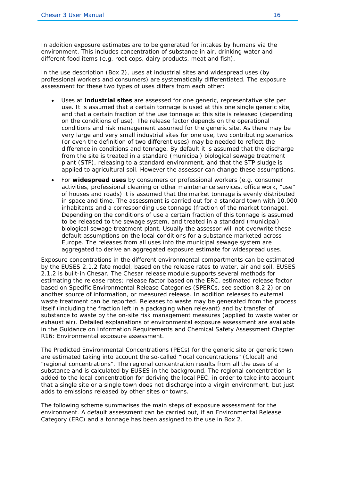In addition exposure estimates are to be generated for intakes by humans via the environment. This includes concentration of substance in air, drinking water and different food items (e.g. root cops, dairy products, meat and fish).

In the use description (Box 2), uses at industrial sites and widespread uses (by professional workers and consumers) are systematically differentiated. The exposure assessment for these two types of uses differs from each other:

- Uses at **industrial sites** are assessed for one generic, representative site per use. It is assumed that a certain tonnage is used at this one single generic site, and that a certain fraction of the use tonnage at this site is released (depending on the conditions of use). The release factor depends on the operational conditions and risk management assumed for the generic site. As there may be very large and very small industrial sites for one use, two contributing scenarios (or even the definition of two different uses) may be needed to reflect the difference in conditions and tonnage. By default it is assumed that the discharge from the site is treated in a standard (municipal) biological sewage treatment plant (STP), releasing to a standard environment, and that the STP sludge is applied to agricultural soil. However the assessor can change these assumptions.
- For **widespread uses** by consumers or professional workers (e.g. consumer activities, professional cleaning or other maintenance services, office work, "use" of houses and roads) it is assumed that the market tonnage is evenly distributed in space and time. The assessment is carried out for a standard town with 10,000 inhabitants and a corresponding use tonnage (fraction of the market tonnage). Depending on the conditions of use a certain fraction of this tonnage is assumed to be released to the sewage system, and treated in a standard (municipal) biological sewage treatment plant. Usually the assessor will not overwrite these default assumptions on the local conditions for a substance marketed across Europe. The releases from all uses into the municipal sewage system are aggregated to derive an aggregated exposure estimate for widespread uses.

Exposure concentrations in the different environmental compartments can be estimated by the EUSES 2.1.2 fate model, based on the release rates to water, air and soil. EUSES 2.1.2 is built-in Chesar. The Chesar release module supports several methods for estimating the release rates: release factor based on the ERC, estimated release factor based on Specific Environmental Release Categories (SPERCs, see section [8.2.2\)](#page-26-0) or on another source of information, or measured release. In addition releases to external waste treatment can be reported. Releases to waste may be generated from the process itself (including the fraction left in a packaging when relevant) and by transfer of substance to waste by the on-site risk management measures (applied to waste water or exhaust air). Detailed explanations of environmental exposure assessment are available in the Guidance on Information Requirements and Chemical Safety Assessment Chapter R16: Environmental exposure assessment.

The Predicted Environmental Concentrations (PECs) for the generic site or generic town are estimated taking into account the so-called "local concentrations" (Clocal) and "regional concentrations". The regional concentration results from all the uses of a substance and is calculated by EUSES in the background. The regional concentration is added to the local concentration for deriving the local PEC, in order to take into account that a single site or a single town does not discharge into a virgin environment, but just adds to emissions released by other sites or towns.

The following scheme summarises the main steps of exposure assessment for the environment. A default assessment can be carried out, if an Environmental Release Category (ERC) and a tonnage has been assigned to the use in Box 2.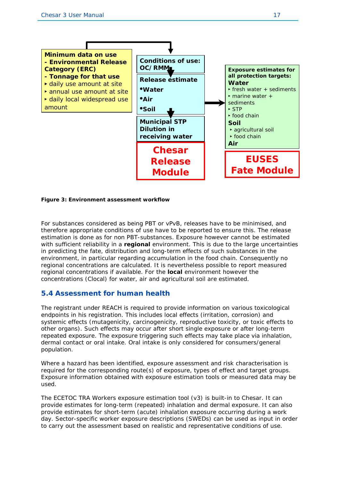

#### <span id="page-20-1"></span>**Figure 3: Environment assessment workflow**

For substances considered as being PBT or vPvB, releases have to be minimised, and therefore appropriate conditions of use have to be reported to ensure this. The release estimation is done as for non PBT-substances. Exposure however cannot be estimated with sufficient reliability in a **regional** environment. This is due to the large uncertainties in predicting the fate, distribution and long-term effects of such substances in the environment, in particular regarding accumulation in the food chain. Consequently no regional concentrations are calculated. It is nevertheless possible to report measured regional concentrations if available. For the **local** environment however the concentrations (Clocal) for water, air and agricultural soil are estimated.

#### <span id="page-20-0"></span>**5.4 Assessment for human health**

The registrant under REACH is required to provide information on various toxicological endpoints in his registration. This includes local effects (irritation, corrosion) and systemic effects (mutagenicity, carcinogenicity, reproductive toxicity, or toxic effects to other organs). Such effects may occur after short single exposure or after long-term repeated exposure. The exposure triggering such effects may take place via inhalation, dermal contact or oral intake. Oral intake is only considered for consumers/general population.

Where a hazard has been identified, exposure assessment and risk characterisation is required for the corresponding route(s) of exposure, types of effect and target groups. Exposure information obtained with exposure estimation tools or measured data may be used.

The ECETOC TRA Workers exposure estimation tool (v3) is built-in to Chesar. It can provide estimates for long-term (repeated) inhalation and dermal exposure. It can also provide estimates for short-term (acute) inhalation exposure occurring during a work day. Sector-specific worker exposure descriptions (SWEDs) can be used as input in order to carry out the assessment based on realistic and representative conditions of use.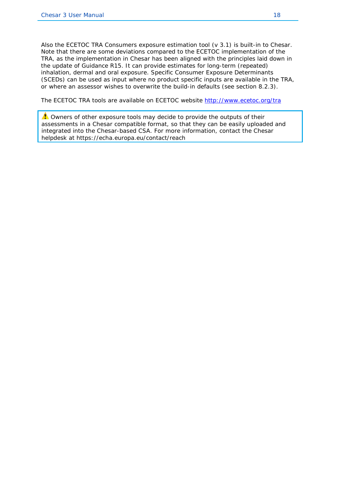Also the ECETOC TRA Consumers exposure estimation tool (v 3.1) is built-in to Chesar. Note that there are some deviations compared to the ECETOC implementation of the TRA, as the implementation in Chesar has been aligned with the principles laid down in the update of Guidance R15. It can provide estimates for long-term (repeated) inhalation, dermal and oral exposure. Specific Consumer Exposure Determinants (SCEDs) can be used as input where no product specific inputs are available in the TRA, or where an assessor wishes to overwrite the build-in defaults (see section 8.2.3).

The ECETOC TRA tools are available on ECETOC website<http://www.ecetoc.org/tra>

A Owners of other exposure tools may decide to provide the outputs of their assessments in a Chesar compatible format, so that they can be easily uploaded and integrated into the Chesar-based CSA. For more information, contact the Chesar helpdesk at https://echa.europa.eu/contact/reach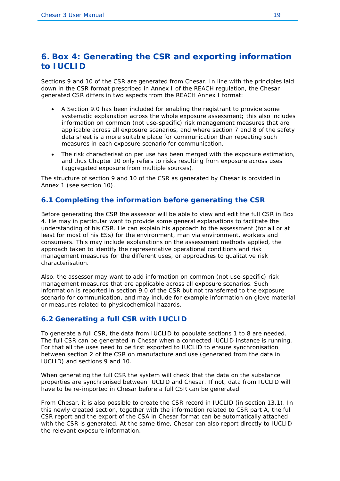## <span id="page-22-0"></span>**6. Box 4: Generating the CSR and exporting information to IUCLID**

Sections 9 and 10 of the CSR are generated from Chesar. In line with the principles laid down in the CSR format prescribed in Annex I of the REACH regulation, the Chesar generated CSR differs in two aspects from the REACH Annex I format:

- A Section 9.0 has been included for enabling the registrant to provide some systematic explanation across the whole exposure assessment; this also includes information on common (not use-specific) risk management measures that are applicable across all exposure scenarios, and where section 7 and 8 of the safety data sheet is a more suitable place for communication than repeating such measures in each exposure scenario for communication.
- The risk characterisation per use has been merged with the exposure estimation, and thus Chapter 10 only refers to risks resulting from exposure across uses (aggregated exposure from multiple sources).

The structure of section 9 and 10 of the CSR as generated by Chesar is provided in Annex 1 (see section [10\)](#page-30-0).

#### <span id="page-22-1"></span>**6.1 Completing the information before generating the CSR**

Before generating the CSR the assessor will be able to view and edit the full CSR in Box 4. He may in particular want to provide some general explanations to facilitate the understanding of his CSR. He can explain his approach to the assessment (for all or at least for most of his ESs) for the environment, man via environment, workers and consumers. This may include explanations on the assessment methods applied, the approach taken to identify the representative operational conditions and risk management measures for the different uses, or approaches to qualitative risk characterisation.

Also, the assessor may want to add information on common (not use-specific) risk management measures that are applicable across all exposure scenarios. Such information is reported in section 9.0 of the CSR but not transferred to the exposure scenario for communication, and may include for example information on glove material or measures related to physicochemical hazards.

#### <span id="page-22-2"></span>**6.2 Generating a full CSR with IUCLID**

To generate a full CSR, the data from IUCLID to populate sections 1 to 8 are needed. The full CSR can be generated in Chesar when a connected IUCLID instance is running. For that all the uses need to be first exported to IUCLID to ensure synchronisation between section 2 of the CSR on manufacture and use (generated from the data in IUCLID) and sections 9 and 10.

When generating the full CSR the system will check that the data on the substance properties are synchronised between IUCLID and Chesar. If not, data from IUCLID will have to be re-imported in Chesar before a full CSR can be generated.

From Chesar, it is also possible to create the CSR record in IUCLID (in section 13.1). In this newly created section, together with the information related to CSR part A, the full CSR report and the export of the CSA in Chesar format can be automatically attached with the CSR is generated. At the same time, Chesar can also report directly to IUCLID the relevant exposure information.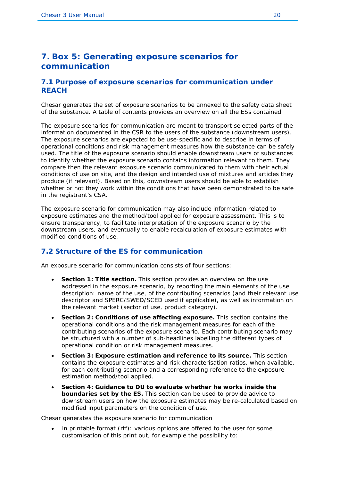## <span id="page-23-0"></span>**7. Box 5: Generating exposure scenarios for communication**

#### <span id="page-23-1"></span>**7.1 Purpose of exposure scenarios for communication under REACH**

Chesar generates the set of exposure scenarios to be annexed to the safety data sheet of the substance. A table of contents provides an overview on all the ESs contained.

The exposure scenarios for communication are meant to transport selected parts of the information documented in the CSR to the users of the substance (downstream users). The exposure scenarios are expected to be use-specific and to describe in terms of operational conditions and risk management measures how the substance can be safely used. The title of the exposure scenario should enable downstream users of substances to identify whether the exposure scenario contains information relevant to them. They compare then the relevant exposure scenario communicated to them with their actual conditions of use on site, and the design and intended use of mixtures and articles they produce (if relevant). Based on this, downstream users should be able to establish whether or not they work within the conditions that have been demonstrated to be safe in the registrant's CSA.

The exposure scenario for communication may also include information related to exposure estimates and the method/tool applied for exposure assessment. This is to ensure transparency, to facilitate interpretation of the exposure scenario by the downstream users, and eventually to enable recalculation of exposure estimates with modified conditions of use.

#### <span id="page-23-2"></span>**7.2 Structure of the ES for communication**

An exposure scenario for communication consists of four sections:

- **Section 1: Title section.** This section provides an overview on the use addressed in the exposure scenario, by reporting the main elements of the use description: name of the use, of the contributing scenarios (and their relevant use descriptor and SPERC/SWED/SCED used if applicable), as well as information on the relevant market (sector of use, product category).
- **Section 2: Conditions of use affecting exposure.** This section contains the operational conditions and the risk management measures for each of the contributing scenarios of the exposure scenario. Each contributing scenario may be structured with a number of sub-headlines labelling the different types of operational condition or risk management measures.
- **Section 3: Exposure estimation and reference to its source.** This section contains the exposure estimates and risk characterisation ratios, when available, for each contributing scenario and a corresponding reference to the exposure estimation method/tool applied.
- **Section 4: Guidance to DU to evaluate whether he works inside the boundaries set by the ES.** This section can be used to provide advice to downstream users on how the exposure estimates may be re-calculated based on modified input parameters on the condition of use.

Chesar generates the exposure scenario for communication

In printable format (rtf): various options are offered to the user for some customisation of this print out, for example the possibility to: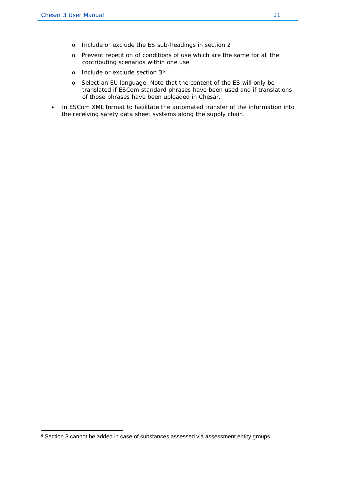- o Include or exclude the ES sub-headings in section 2
- o Prevent repetition of conditions of use which are the same for all the contributing scenarios within one use
- o Include or exclude section 3[6](#page-24-0)
- o Select an EU language. Note that the content of the ES will only be translated if ESCom standard phrases have been used and if translations of those phrases have been uploaded in Chesar.
- In ESCom XML format to facilitate the automated transfer of the information into the receiving safety data sheet systems along the supply chain.

<span id="page-24-0"></span><sup>6</sup> Section 3 cannot be added in case of substances assessed via assessment entity groups.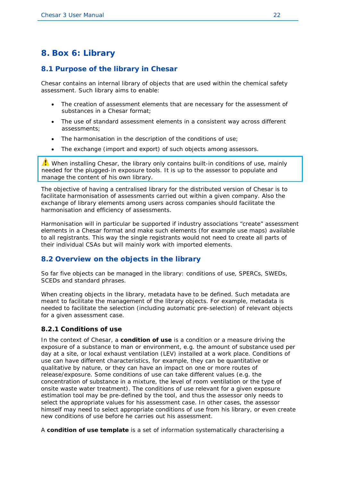## <span id="page-25-0"></span>**8. Box 6: Library**

#### <span id="page-25-1"></span>**8.1 Purpose of the library in Chesar**

Chesar contains an internal library of objects that are used within the chemical safety assessment. Such library aims to enable:

- The creation of assessment elements that are necessary for the assessment of substances in a Chesar format:
- The use of standard assessment elements in a consistent way across different assessments;
- The harmonisation in the description of the conditions of use;
- The exchange (import and export) of such objects among assessors.

 $\triangle$  When installing Chesar, the library only contains built-in conditions of use, mainly needed for the plugged-in exposure tools. It is up to the assessor to populate and manage the content of his own library.

The objective of having a centralised library for the distributed version of Chesar is to facilitate harmonisation of assessments carried out within a given company. Also the exchange of library elements among users across companies should facilitate the harmonisation and efficiency of assessments.

Harmonisation will in particular be supported if industry associations "create" assessment elements in a Chesar format and make such elements (for example use maps) available to all registrants. This way the single registrants would not need to create all parts of their individual CSAs but will mainly work with imported elements.

#### <span id="page-25-2"></span>**8.2 Overview on the objects in the library**

So far five objects can be managed in the library: conditions of use, SPERCs, SWEDs, SCEDs and standard phrases.

When creating objects in the library, metadata have to be defined. Such metadata are meant to facilitate the management of the library objects. For example, metadata is needed to facilitate the selection (including automatic pre-selection) of relevant objects for a given assessment case.

#### <span id="page-25-3"></span>**8.2.1 Conditions of use**

In the context of Chesar, a **condition of use** is a condition or a measure driving the exposure of a substance to man or environment, e.g. the amount of substance used per day at a site, or local exhaust ventilation (LEV) installed at a work place. Conditions of use can have different characteristics, for example, they can be quantitative or qualitative by nature, or they can have an impact on one or more routes of release/exposure. Some conditions of use can take different values (e.g. the concentration of substance in a mixture, the level of room ventilation or the type of onsite waste water treatment). The conditions of use relevant for a given exposure estimation tool may be pre-defined by the tool, and thus the assessor only needs to select the appropriate values for his assessment case. In other cases, the assessor himself may need to select appropriate conditions of use from his library, or even create new conditions of use before he carries out his assessment.

A **condition of use template** is a set of information systematically characterising a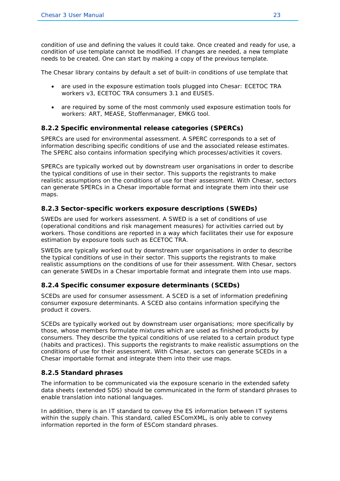condition of use and defining the values it could take. Once created and ready for use, a condition of use template cannot be modified. If changes are needed, a new template needs to be created. One can start by making a copy of the previous template.

The Chesar library contains by default a set of built-in conditions of use template that

- are used in the exposure estimation tools plugged into Chesar: ECETOC TRA workers v3, ECETOC TRA consumers 3.1 and EUSES.
- are required by some of the most commonly used exposure estimation tools for workers: ART, MEASE, Stoffenmanager, EMKG tool.

#### <span id="page-26-0"></span>**8.2.2 Specific environmental release categories (SPERCs)**

SPERCs are used for environmental assessment. A SPERC corresponds to a set of information describing specific conditions of use and the associated release estimates. The SPERC also contains information specifying which processes/activities it covers.

SPERCs are typically worked out by downstream user organisations in order to describe the typical conditions of use in their sector. This supports the registrants to make realistic assumptions on the conditions of use for their assessment. With Chesar, sectors can generate SPERCs in a Chesar importable format and integrate them into their use maps.

#### <span id="page-26-1"></span>**8.2.3 Sector-specific workers exposure descriptions (SWEDs)**

SWEDs are used for workers assessment. A SWED is a set of conditions of use (operational conditions and risk management measures) for activities carried out by workers. Those conditions are reported in a way which facilitates their use for exposure estimation by exposure tools such as ECETOC TRA.

SWEDs are typically worked out by downstream user organisations in order to describe the typical conditions of use in their sector. This supports the registrants to make realistic assumptions on the conditions of use for their assessment. With Chesar, sectors can generate SWEDs in a Chesar importable format and integrate them into use maps.

#### <span id="page-26-2"></span>**8.2.4 Specific consumer exposure determinants (SCEDs)**

SCEDs are used for consumer assessment. A SCED is a set of information predefining consumer exposure determinants. A SCED also contains information specifying the product it covers.

SCEDs are typically worked out by downstream user organisations; more specifically by those, whose members formulate mixtures which are used as finished products by consumers. They describe the typical conditions of use related to a certain product type (habits and practices). This supports the registrants to make realistic assumptions on the conditions of use for their assessment. With Chesar, sectors can generate SCEDs in a Chesar importable format and integrate them into their use maps.

#### <span id="page-26-3"></span>**8.2.5 Standard phrases**

The information to be communicated via the exposure scenario in the extended safety data sheets (extended SDS) should be communicated in the form of standard phrases to enable translation into national languages.

In addition, there is an IT standard to convey the ES information between IT systems within the supply chain. This standard, called ESComXML, is only able to convey information reported in the form of ESCom standard phrases.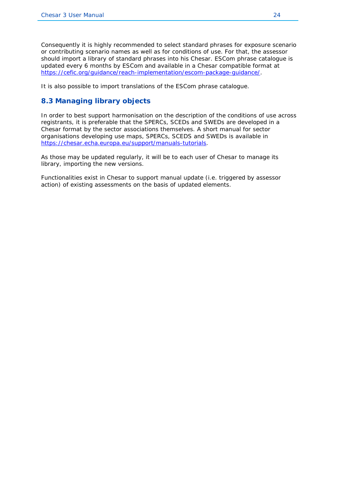Consequently it is highly recommended to select standard phrases for exposure scenario or contributing scenario names as well as for conditions of use. For that, the assessor should import a library of standard phrases into his Chesar. ESCom phrase catalogue is updated every 6 months by ESCom and available in a Chesar compatible format at [https://cefic.org/guidance/reach-implementation/escom-package-guidance/.](https://cefic.org/guidance/reach-implementation/escom-package-guidance/)

It is also possible to import translations of the ESCom phrase catalogue.

#### <span id="page-27-0"></span>**8.3 Managing library objects**

In order to best support harmonisation on the description of the conditions of use across registrants, it is preferable that the SPERCs, SCEDs and SWEDs are developed in a Chesar format by the sector associations themselves. A short manual for sector organisations developing use maps, SPERCs, SCEDS and SWEDs is available in [https://chesar.echa.europa.eu/support/manuals-tutorials.](https://chesar.echa.europa.eu/support/manuals-tutorials)

As those may be updated regularly, it will be to each user of Chesar to manage its library, importing the new versions.

Functionalities exist in Chesar to support manual update (i.e. triggered by assessor action) of existing assessments on the basis of updated elements.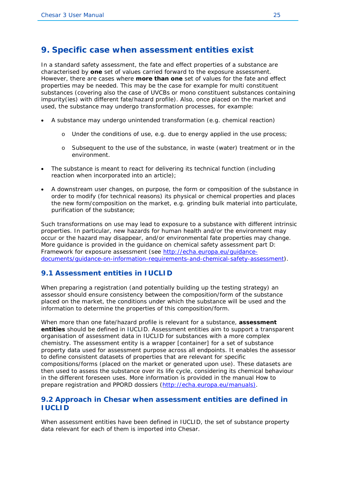### <span id="page-28-0"></span>**9. Specific case when assessment entities exist**

In a standard safety assessment, the fate and effect properties of a substance are characterised by **one** set of values carried forward to the exposure assessment. However, there are cases where **more than one** set of values for the fate and effect properties may be needed. This may be the case for example for multi constituent substances (covering also the case of UVCBs or mono constituent substances containing impurity(ies) with different fate/hazard profile). Also, once placed on the market and used, the substance may undergo transformation processes, for example:

- A substance may undergo unintended transformation (e.g. chemical reaction)
	- o Under the conditions of use, e.g. due to energy applied in the use process;
	- o Subsequent to the use of the substance, in waste (water) treatment or in the environment.
- The substance is meant to react for delivering its technical function (including reaction when incorporated into an article);
- A downstream user changes, on purpose, the form or composition of the substance in order to modify (for technical reasons) its physical or chemical properties and places the new form/composition on the market, e.g. grinding bulk material into particulate, purification of the substance;

Such transformations on use may lead to exposure to a substance with different intrinsic properties. In particular, new hazards for human health and/or the environment may occur or the hazard may disappear, and/or environmental fate properties may change. More guidance is provided in the guidance on chemical safety assessment part D: Framework for exposure assessment (see [http://echa.europa.eu/guidance](http://echa.europa.eu/guidance-documents/guidance-on-information-requirements-and-chemical-safety-assessment)[documents/guidance-on-information-requirements-and-chemical-safety-assessment\)](http://echa.europa.eu/guidance-documents/guidance-on-information-requirements-and-chemical-safety-assessment).

#### <span id="page-28-1"></span>**9.1 Assessment entities in IUCLID**

When preparing a registration (and potentially building up the testing strategy) an assessor should ensure consistency between the composition/form of the substance placed on the market, the conditions under which the substance will be used and the information to determine the properties of this composition/form.

When more than one fate/hazard profile is relevant for a substance, **assessment entities** should be defined in IUCLID. Assessment entities aim to support a transparent organisation of assessment data in IUCLID for substances with a more complex chemistry. The assessment entity is a wrapper [container] for a set of substance property data used for assessment purpose across all endpoints. It enables the assessor to define consistent datasets of properties that are relevant for specific compositions/forms (placed on the market or generated upon use). These datasets are then used to assess the substance over its life cycle, considering its chemical behaviour in the different foreseen uses. More information is provided in the manual *How to prepare registration and PPORD dossiers* [\(http://echa.europa.eu/manuals\)](http://echa.europa.eu/manuals).

#### <span id="page-28-2"></span>**9.2 Approach in Chesar when assessment entities are defined in IUCLID**

When assessment entities have been defined in IUCLID, the set of substance property data relevant for each of them is imported into Chesar.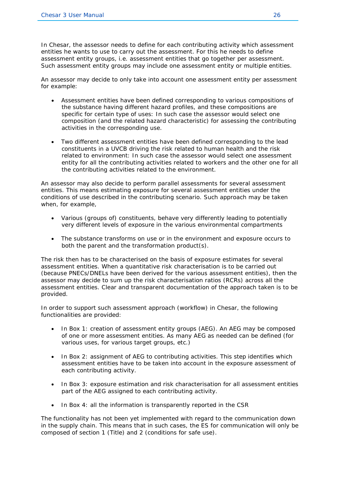In Chesar, the assessor needs to define for each contributing activity which assessment entities he wants to use to carry out the assessment. For this he needs to define assessment entity groups, i.e. assessment entities that go together per assessment. Such assessment entity groups may include one assessment entity or multiple entities.

An assessor may decide to only take into account one assessment entity per assessment for example:

- Assessment entities have been defined corresponding to various compositions of the substance having different hazard profiles, and these compositions are specific for certain type of uses: In such case the assessor would select one composition (and the related hazard characteristic) for assessing the contributing activities in the corresponding use.
- Two different assessment entities have been defined corresponding to the lead constituents in a UVCB driving the risk related to human health and the risk related to environment: In such case the assessor would select one assessment entity for all the contributing activities related to workers and the other one for all the contributing activities related to the environment.

An assessor may also decide to perform parallel assessments for several assessment entities. This means estimating exposure for several assessment entities under the conditions of use described in the contributing scenario. Such approach may be taken when, for example,

- Various (groups of) constituents, behave very differently leading to potentially very different levels of exposure in the various environmental compartments
- The substance transforms on use or in the environment and exposure occurs to both the parent and the transformation product(s).

The risk then has to be characterised on the basis of exposure estimates for several assessment entities. When a quantitative risk characterisation is to be carried out (because PNECs/DNELs have been derived for the various assessment entities), then the assessor may decide to sum up the risk characterisation ratios (RCRs) across all the assessment entities. Clear and transparent documentation of the approach taken is to be provided.

In order to support such assessment approach (workflow) in Chesar, the following functionalities are provided:

- In Box 1: creation of assessment entity groups (AEG). An AEG may be composed of one or more assessment entities. As many AEG as needed can be defined (for various uses, for various target groups, etc.)
- In Box 2: assignment of AEG to contributing activities. This step identifies which assessment entities have to be taken into account in the exposure assessment of each contributing activity.
- In Box 3: exposure estimation and risk characterisation for all assessment entities part of the AEG assigned to each contributing activity.
- In Box 4: all the information is transparently reported in the CSR

The functionality has not been yet implemented with regard to the communication down in the supply chain. This means that in such cases, the ES for communication will only be composed of section 1 (Title) and 2 (conditions for safe use).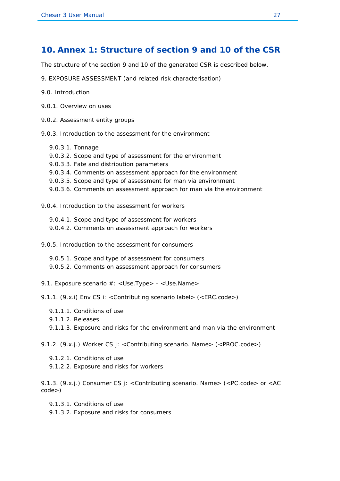#### <span id="page-30-0"></span>**10. Annex 1: Structure of section 9 and 10 of the CSR**

The structure of the section 9 and 10 of the generated CSR is described below.

- 9. EXPOSURE ASSESSMENT (and related risk characterisation)
- 9.0. Introduction
- 9.0.1. Overview on uses
- 9.0.2. Assessment entity groups
- 9.0.3. Introduction to the assessment for the environment
	- 9.0.3.1. Tonnage
	- 9.0.3.2. Scope and type of assessment for the environment
	- 9.0.3.3. Fate and distribution parameters
	- 9.0.3.4. Comments on assessment approach for the environment
	- 9.0.3.5. Scope and type of assessment for man via environment
	- 9.0.3.6. Comments on assessment approach for man via the environment
- 9.0.4. Introduction to the assessment for workers
	- 9.0.4.1. Scope and type of assessment for workers 9.0.4.2. Comments on assessment approach for workers
- 9.0.5. Introduction to the assessment for consumers
	- 9.0.5.1. Scope and type of assessment for consumers 9.0.5.2. Comments on assessment approach for consumers
- 9.1. Exposure scenario #: < Use.Type> < Use.Name>

9.1.1. (9.x.i) Env CS i: <Contributing scenario label> (<ERC.code>)

- 9.1.1.1. Conditions of use
- 9.1.1.2. Releases
- 9.1.1.3. Exposure and risks for the environment and man via the environment

9.1.2. (9.x.j.) Worker CS j: <Contributing scenario. Name> (<PROC.code>)

- 9.1.2.1. Conditions of use
- 9.1.2.2. Exposure and risks for workers

9.1.3. (9.x.j.) Consumer CS j: < Contributing scenario. Name> (<PC.code> or <AC code>)

- 9.1.3.1. Conditions of use
- 9.1.3.2. Exposure and risks for consumers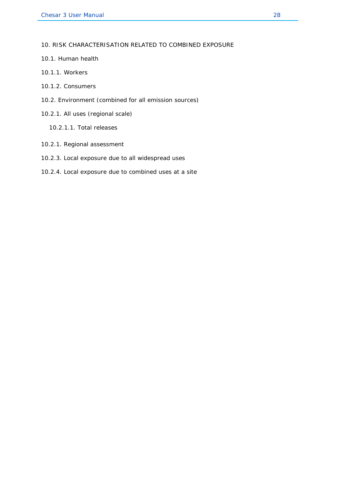10. RISK CHARACTERISATION RELATED TO COMBINED EXPOSURE

- 10.1. Human health
- 10.1.1. Workers
- 10.1.2. Consumers
- 10.2. Environment (combined for all emission sources)
- 10.2.1. All uses (regional scale)
	- 10.2.1.1. Total releases
- 10.2.1. Regional assessment
- 10.2.3. Local exposure due to all widespread uses
- 10.2.4. Local exposure due to combined uses at a site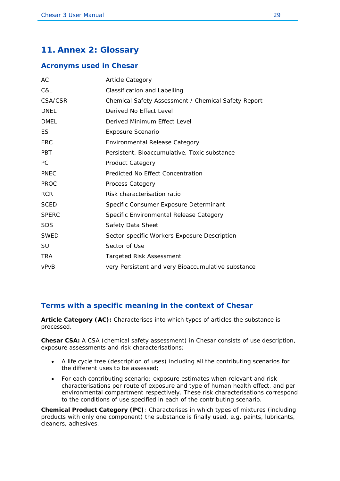## <span id="page-32-0"></span>**11. Annex 2: Glossary**

#### <span id="page-32-1"></span>**Acronyms used in Chesar**

| AC           | <b>Article Category</b>                             |
|--------------|-----------------------------------------------------|
| C&L          | <b>Classification and Labelling</b>                 |
| CSA/CSR      | Chemical Safety Assessment / Chemical Safety Report |
| <b>DNEL</b>  | Derived No Effect Level                             |
| <b>DMEL</b>  | Derived Minimum Effect Level                        |
| ES           | <b>Exposure Scenario</b>                            |
| <b>ERC</b>   | <b>Environmental Release Category</b>               |
| <b>PBT</b>   | Persistent, Bioaccumulative, Toxic substance        |
| <b>PC</b>    | Product Category                                    |
| <b>PNEC</b>  | Predicted No Effect Concentration                   |
| <b>PROC</b>  | Process Category                                    |
| <b>RCR</b>   | Risk characterisation ratio                         |
| <b>SCED</b>  | Specific Consumer Exposure Determinant              |
| <b>SPERC</b> | Specific Environmental Release Category             |
| <b>SDS</b>   | Safety Data Sheet                                   |
| <b>SWED</b>  | Sector-specific Workers Exposure Description        |
| SU           | Sector of Use                                       |
| <b>TRA</b>   | Targeted Risk Assessment                            |
| vPvB         | very Persistent and very Bioaccumulative substance  |

#### <span id="page-32-2"></span>**Terms with a specific meaning in the context of Chesar**

**Article Category (AC):** Characterises into which types of articles the substance is processed.

**Chesar CSA:** A CSA (chemical safety assessment) in Chesar consists of use description, exposure assessments and risk characterisations:

- A life cycle tree (description of uses) including all the contributing scenarios for the different uses to be assessed;
- For each contributing scenario: exposure estimates when relevant and risk characterisations per route of exposure and type of human health effect, and per environmental compartment respectively. These risk characterisations correspond to the conditions of use specified in each of the contributing scenario.

**Chemical Product Category (PC)**: Characterises in which types of mixtures (including products with only one component) the substance is finally used, e.g. paints, lubricants, cleaners, adhesives.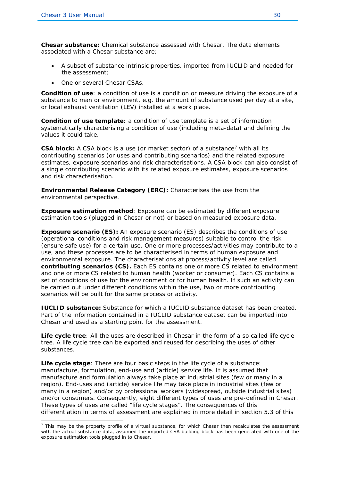**Chesar substance:** Chemical substance assessed with Chesar. The data elements associated with a Chesar substance are:

- A subset of substance intrinsic properties, imported from IUCLID and needed for the assessment;
- One or several Chesar CSAs.

**Condition of use**: a condition of use is a condition or measure driving the exposure of a substance to man or environment, e.g. the amount of substance used per day at a site, or local exhaust ventilation (LEV) installed at a work place.

**Condition of use template**: a condition of use template is a set of information systematically characterising a condition of use (including meta-data) and defining the values it could take.

**CSA block:** A CSA block is a use (or market sector) of a substance<sup>[7](#page-33-0)</sup> with all its contributing scenarios (or uses and contributing scenarios) and the related exposure estimates, exposure scenarios and risk characterisations. A CSA block can also consist of a single contributing scenario with its related exposure estimates, exposure scenarios and risk characterisation.

**Environmental Release Category (ERC):** Characterises the use from the environmental perspective.

**Exposure estimation method**: Exposure can be estimated by different exposure estimation tools (plugged in Chesar or not) or based on measured exposure data.

**Exposure scenario (ES):** An exposure scenario (ES) describes the conditions of use (operational conditions and risk management measures) suitable to control the risk (ensure safe use) for a certain use. One or more processes/activities may contribute to a use, and these processes are to be characterised in terms of human exposure and environmental exposure. The characterisations at process/activity level are called **contributing scenarios (CS).** Each ES contains one or more CS related to environment and one or more CS related to human health (worker or consumer). Each CS contains a set of conditions of use for the environment or for human health. If such an activity can be carried out under different conditions within the use, two or more contributing scenarios will be built for the same process or activity.

**IUCLID substance:** Substance for which a IUCLID substance dataset has been created. Part of the information contained in a IUCLID substance dataset can be imported into Chesar and used as a starting point for the assessment.

**Life cycle tree**: All the uses are described in Chesar in the form of a so called life cycle tree. A life cycle tree can be exported and reused for describing the uses of other substances.

**Life cycle stage**: There are four basic steps in the life cycle of a substance: manufacture, formulation, end-use and (article) service life. It is assumed that manufacture and formulation always take place at industrial sites (few or many in a region). End-uses and (article) service life may take place in industrial sites (few or many in a region) and/or by professional workers (widespread, outside industrial sites) and/or consumers. Consequently, eight different types of uses are pre-defined in Chesar. These types of uses are called "life cycle stages". The consequences of this differentiation in terms of assessment are explained in more detail in section [5.3](#page-18-3) of this

<span id="page-33-0"></span> $<sup>7</sup>$  This may be the property profile of a virtual substance, for which Chesar then recalculates the assessment</sup> with the actual substance data, assumed the imported CSA building block has been generated with one of the exposure estimation tools plugged in to Chesar.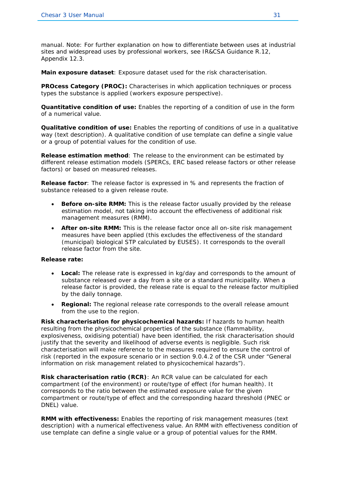manual. Note: For further explanation on how to differentiate between uses at industrial sites and widespread uses by professional workers, see IR&CSA Guidance R.12, Appendix 12.3.

**Main exposure dataset**: Exposure dataset used for the risk characterisation.

**PROcess Category (PROC):** Characterises in which application techniques or process types the substance is applied (workers exposure perspective).

**Quantitative condition of use:** Enables the reporting of a condition of use in the form of a numerical value.

**Qualitative condition of use:** Enables the reporting of conditions of use in a qualitative way (text description). A qualitative condition of use template can define a single value or a group of potential values for the condition of use.

**Release estimation method**: The release to the environment can be estimated by different release estimation models (SPERCs, ERC based release factors or other release factors) or based on measured releases.

**Release factor**: The release factor is expressed in % and represents the fraction of substance released to a given release route.

- **Before on-site RMM:** This is the release factor usually provided by the release estimation model, not taking into account the effectiveness of additional risk management measures (RMM).
- **After on-site RMM:** This is the release factor once all on-site risk management measures have been applied (this excludes the effectiveness of the standard (municipal) biological STP calculated by EUSES). It corresponds to the overall release factor from the site.

#### **Release rate:**

- **Local:** The release rate is expressed in kg/day and corresponds to the amount of substance released over a day from a site or a standard municipality. When a release factor is provided, the release rate is equal to the release factor multiplied by the daily tonnage.
- **Regional:** The regional release rate corresponds to the overall release amount from the use to the region.

**Risk characterisation for physicochemical hazards:** If hazards to human health resulting from the physicochemical properties of the substance (flammability, explosiveness, oxidising potential) have been identified, the risk characterisation should justify that the severity and likelihood of adverse events is negligible. Such risk characterisation will make reference to the measures required to ensure the control of risk (reported in the exposure scenario or in section 9.0.4.2 of the CSR under "General information on risk management related to physicochemical hazards").

**Risk characterisation ratio (RCR)**: An RCR value can be calculated for each compartment (of the environment) or route/type of effect (for human health). It corresponds to the ratio between the estimated exposure value for the given compartment or route/type of effect and the corresponding hazard threshold (PNEC or DNEL) value.

**RMM with effectiveness:** Enables the reporting of risk management measures (text description) with a numerical effectiveness value. An RMM with effectiveness condition of use template can define a single value or a group of potential values for the RMM.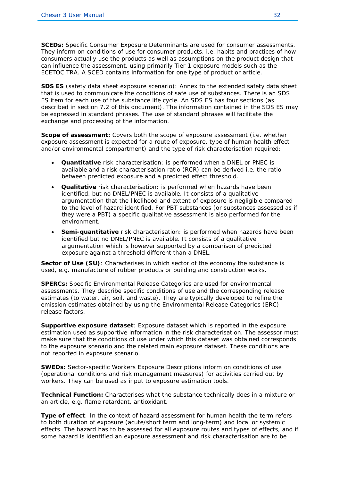**SCEDs:** Specific Consumer Exposure Determinants are used for consumer assessments. They inform on conditions of use for consumer products, i.e. habits and practices of how consumers actually use the products as well as assumptions on the product design that can influence the assessment, using primarily Tier 1 exposure models such as the ECETOC TRA. A SCED contains information for one type of product or article.

**SDS ES** (safety data sheet exposure scenario): Annex to the extended safety data sheet that is used to communicate the conditions of safe use of substances. There is an SDS ES item for each use of the substance life cycle. An SDS ES has four sections (as described in section [7.2](#page-23-2) of this document). The information contained in the SDS ES may be expressed in standard phrases. The use of standard phrases will facilitate the exchange and processing of the information.

**Scope of assessment:** Covers both the scope of exposure assessment (i.e. whether exposure assessment is expected for a route of exposure, type of human health effect and/or environmental compartment) and the type of risk characterisation required:

- **Quantitative** risk characterisation: is performed when a DNEL or PNEC is available and a risk characterisation ratio (RCR) can be derived i.e. the ratio between predicted exposure and a predicted effect threshold.
- **Qualitative** risk characterisation: is performed when hazards have been identified, but no DNEL/PNEC is available. It consists of a qualitative argumentation that the likelihood and extent of exposure is negligible compared to the level of hazard identified. For PBT substances (or substances assessed as if they were a PBT) a specific qualitative assessment is also performed for the environment.
- **Semi-quantitative** risk characterisation: is performed when hazards have been identified but no DNEL/PNEC is available. It consists of a qualitative argumentation which is however supported by a comparison of predicted exposure against a threshold different than a DNEL.

**Sector of Use (SU)**: Characterises in which sector of the economy the substance is used, e.g. manufacture of rubber products or building and construction works.

**SPERCs:** Specific Environmental Release Categories are used for environmental assessments. They describe specific conditions of use and the corresponding release estimates (to water, air, soil, and waste). They are typically developed to refine the emission estimates obtained by using the Environmental Release Categories (ERC) release factors.

**Supportive exposure dataset**: Exposure dataset which is reported in the exposure estimation used as supportive information in the risk characterisation. The assessor must make sure that the conditions of use under which this dataset was obtained corresponds to the exposure scenario and the related main exposure dataset. These conditions are not reported in exposure scenario.

**SWEDs:** Sector-specific Workers Exposure Descriptions inform on conditions of use (operational conditions and risk management measures) for activities carried out by workers. They can be used as input to exposure estimation tools.

**Technical Function:** Characterises what the substance technically does in a mixture or an article, e.g. flame retardant, antioxidant.

**Type of effect**: In the context of hazard assessment for human health the term refers to both duration of exposure (acute/short term and long-term) and local or systemic effects. The hazard has to be assessed for all exposure routes and types of effects, and if some hazard is identified an exposure assessment and risk characterisation are to be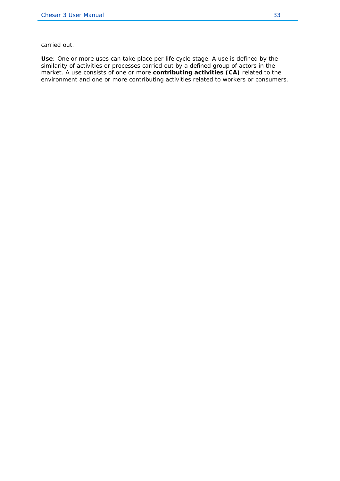carried out.

**Use**: One or more uses can take place per life cycle stage. A use is defined by the similarity of activities or processes carried out by a defined group of actors in the market. A use consists of one or more **contributing activities (CA)** related to the environment and one or more contributing activities related to workers or consumers.